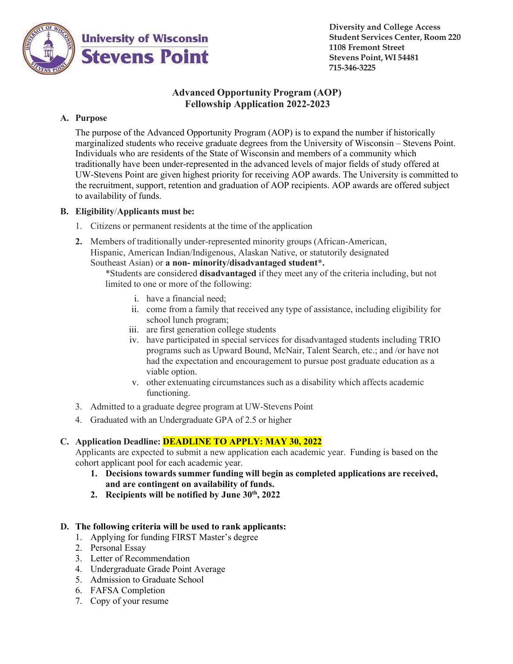

**Diversity and College Access Student Services Center, Room 220 1108 Fremont Street Stevens Point, WI 54481 715-346-3225**

# **Advanced Opportunity Program (AOP) Fellowship Application 2022-2023**

## **A. Purpose**

The purpose of the Advanced Opportunity Program (AOP) is to expand the number if historically marginalized students who receive graduate degrees from the University of Wisconsin – Stevens Point. Individuals who are residents of the State of Wisconsin and members of a community which traditionally have been under-represented in the advanced levels of major fields of study offered at UW-Stevens Point are given highest priority for receiving AOP awards. The University is committed to the recruitment, support, retention and graduation of AOP recipients. AOP awards are offered subject to availability of funds.

## **B. Eligibility**/**Applicants must be:**

- 1. Citizens or permanent residents at the time of the application
- **2.** Members of traditionally under-represented minority groups (African-American, Hispanic, American Indian/Indigenous, Alaskan Native, or statutorily designated Southeast Asian) or **a non- minority/disadvantaged student\*.**

\*Students are considered **disadvantaged** if they meet any of the criteria including, but not limited to one or more of the following:

- i. have a financial need;
- ii. come from a family that received any type of assistance, including eligibility for school lunch program;
- iii. are first generation college students
- iv. have participated in special services for disadvantaged students including TRIO programs such as Upward Bound, McNair, Talent Search, etc.; and /or have not had the expectation and encouragement to pursue post graduate education as a viable option.
- v. other extenuating circumstances such as a disability which affects academic functioning.
- 3. Admitted to a graduate degree program at UW-Stevens Point
- 4. Graduated with an Undergraduate GPA of 2.5 or higher

## **C. Application Deadline: DEADLINE TO APPLY: MAY 30, 2022**

Applicants are expected to submit a new application each academic year. Funding is based on the cohort applicant pool for each academic year.

- **1. Decisions towards summer funding will begin as completed applications are received, and are contingent on availability of funds.**
- **2. Recipients will be notified by June 30th, 2022**

## **D. The following criteria will be used to rank applicants:**

- 1. Applying for funding FIRST Master's degree
- 2. Personal Essay
- 3. Letter of Recommendation
- 4. Undergraduate Grade Point Average
- 5. Admission to Graduate School
- 6. FAFSA Completion
- 7. Copy of your resume